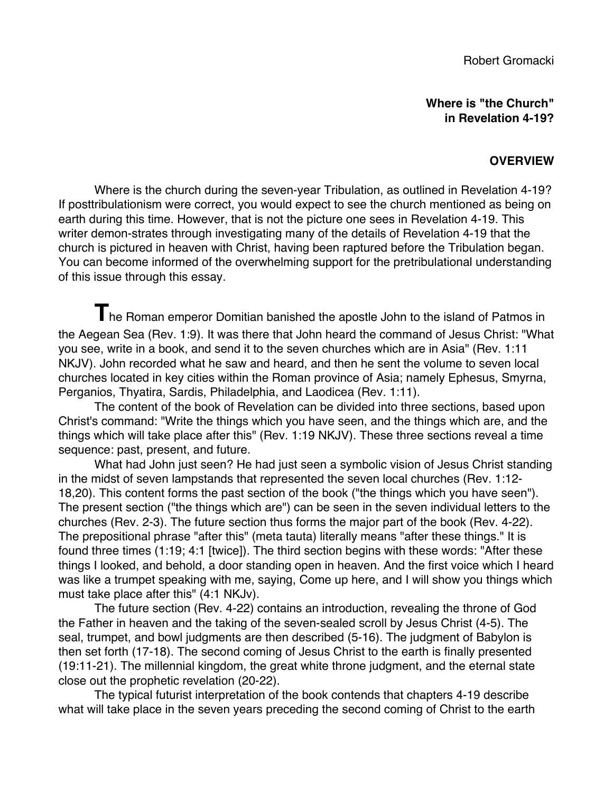**Where is "the Church" in Revelation 4-19?**

## **OVERVIEW**

Where is the church during the seven-year Tribulation, as outlined in Revelation 4-19? If posttribulationism were correct, you would expect to see the church mentioned as being on earth during this time. However, that is not the picture one sees in Revelation 4-19. This writer demon-strates through investigating many of the details of Revelation 4-19 that the church is pictured in heaven with Christ, having been raptured before the Tribulation began. You can become informed of the overwhelming support for the pretribulational understanding of this issue through this essay.

**T**he Roman emperor Domitian banished the apostle John to the island of Patmos in the Aegean Sea (Rev. 1:9). It was there that John heard the command of Jesus Christ: "What you see, write in a book, and send it to the seven churches which are in Asia" (Rev. 1:11 NKJV). John recorded what he saw and heard, and then he sent the volume to seven local churches located in key cities within the Roman province of Asia; namely Ephesus, Smyrna, Perganios, Thyatira, Sardis, Philadelphia, and Laodicea (Rev. 1:11).

The content of the book of Revelation can be divided into three sections, based upon Christ's command: "Write the things which you have seen, and the things which are, and the things which will take place after this" (Rev. 1:19 NKJV). These three sections reveal a time sequence: past, present, and future.

What had John just seen? He had just seen a symbolic vision of Jesus Christ standing in the midst of seven lampstands that represented the seven local churches (Rev. 1:12- 18,20). This content forms the past section of the book ("the things which you have seen"). The present section ("the things which are") can be seen in the seven individual letters to the churches (Rev. 2-3). The future section thus forms the major part of the book (Rev. 4-22). The prepositional phrase "after this" (meta tauta) literally means "after these things." It is found three times (1:19; 4:1 [twice]). The third section begins with these words: "After these things I looked, and behold, a door standing open in heaven. And the first voice which I heard was like a trumpet speaking with me, saying, Come up here, and I will show you things which must take place after this" (4:1 NKJv).

The future section (Rev. 4-22) contains an introduction, revealing the throne of God the Father in heaven and the taking of the seven-sealed scroll by Jesus Christ (4-5). The seal, trumpet, and bowl judgments are then described (5-16). The judgment of Babylon is then set forth (17-18). The second coming of Jesus Christ to the earth is finally presented (19:11-21). The millennial kingdom, the great white throne judgment, and the eternal state close out the prophetic revelation (20-22).

The typical futurist interpretation of the book contends that chapters 4-19 describe what will take place in the seven years preceding the second coming of Christ to the earth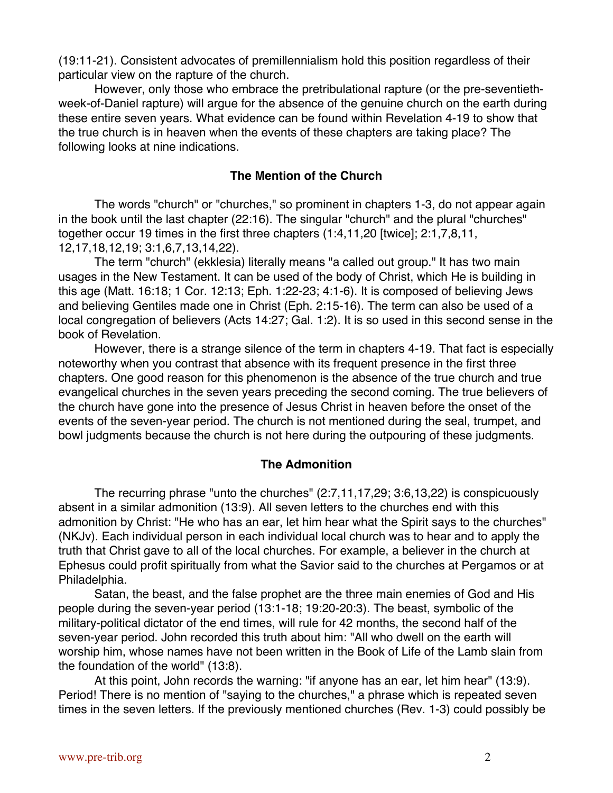(19:11-21). Consistent advocates of premillennialism hold this position regardless of their particular view on the rapture of the church.

However, only those who embrace the pretribulational rapture (or the pre-seventiethweek-of-Daniel rapture) will argue for the absence of the genuine church on the earth during these entire seven years. What evidence can be found within Revelation 4-19 to show that the true church is in heaven when the events of these chapters are taking place? The following looks at nine indications.

## **The Mention of the Church**

The words "church" or "churches," so prominent in chapters 1-3, do not appear again in the book until the last chapter (22:16). The singular "church" and the plural "churches" together occur 19 times in the first three chapters (1:4,11,20 [twice]; 2:1,7,8,11, 12,17,18,12,19; 3:1,6,7,13,14,22).

The term "church" (ekklesia) literally means "a called out group." It has two main usages in the New Testament. It can be used of the body of Christ, which He is building in this age (Matt. 16:18; 1 Cor. 12:13; Eph. 1:22-23; 4:1-6). It is composed of believing Jews and believing Gentiles made one in Christ (Eph. 2:15-16). The term can also be used of a local congregation of believers (Acts 14:27; Gal. 1:2). It is so used in this second sense in the book of Revelation.

However, there is a strange silence of the term in chapters 4-19. That fact is especially noteworthy when you contrast that absence with its frequent presence in the first three chapters. One good reason for this phenomenon is the absence of the true church and true evangelical churches in the seven years preceding the second coming. The true believers of the church have gone into the presence of Jesus Christ in heaven before the onset of the events of the seven-year period. The church is not mentioned during the seal, trumpet, and bowl judgments because the church is not here during the outpouring of these judgments.

#### **The Admonition**

The recurring phrase "unto the churches" (2:7,11,17,29; 3:6,13,22) is conspicuously absent in a similar admonition (13:9). All seven letters to the churches end with this admonition by Christ: "He who has an ear, let him hear what the Spirit says to the churches" (NKJv). Each individual person in each individual local church was to hear and to apply the truth that Christ gave to all of the local churches. For example, a believer in the church at Ephesus could profit spiritually from what the Savior said to the churches at Pergamos or at Philadelphia.

Satan, the beast, and the false prophet are the three main enemies of God and His people during the seven-year period (13:1-18; 19:20-20:3). The beast, symbolic of the military-political dictator of the end times, will rule for 42 months, the second half of the seven-year period. John recorded this truth about him: "All who dwell on the earth will worship him, whose names have not been written in the Book of Life of the Lamb slain from the foundation of the world" (13:8).

At this point, John records the warning: "if anyone has an ear, let him hear" (13:9). Period! There is no mention of "saying to the churches," a phrase which is repeated seven times in the seven letters. If the previously mentioned churches (Rev. 1-3) could possibly be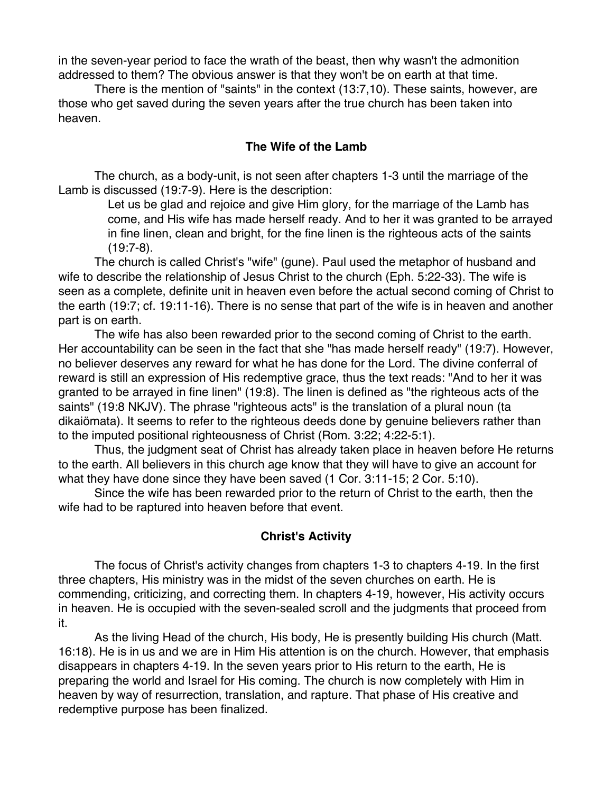in the seven-year period to face the wrath of the beast, then why wasn't the admonition addressed to them? The obvious answer is that they won't be on earth at that time.

There is the mention of "saints" in the context (13:7,10). These saints, however, are those who get saved during the seven years after the true church has been taken into heaven.

## **The Wife of the Lamb**

The church, as a body-unit, is not seen after chapters 1-3 until the marriage of the Lamb is discussed (19:7-9). Here is the description:

> Let us be glad and rejoice and give Him glory, for the marriage of the Lamb has come, and His wife has made herself ready. And to her it was granted to be arrayed in fine linen, clean and bright, for the fine linen is the righteous acts of the saints (19:7-8).

The church is called Christ's "wife" (gune). Paul used the metaphor of husband and wife to describe the relationship of Jesus Christ to the church (Eph. 5:22-33). The wife is seen as a complete, definite unit in heaven even before the actual second coming of Christ to the earth (19:7; cf. 19:11-16). There is no sense that part of the wife is in heaven and another part is on earth.

The wife has also been rewarded prior to the second coming of Christ to the earth. Her accountability can be seen in the fact that she "has made herself ready" (19:7). However, no believer deserves any reward for what he has done for the Lord. The divine conferral of reward is still an expression of His redemptive grace, thus the text reads: "And to her it was granted to be arrayed in fine linen" (19:8). The linen is defined as "the righteous acts of the saints" (19:8 NKJV). The phrase "righteous acts" is the translation of a plural noun (ta dikaiömata). It seems to refer to the righteous deeds done by genuine believers rather than to the imputed positional righteousness of Christ (Rom. 3:22; 4:22-5:1).

Thus, the judgment seat of Christ has already taken place in heaven before He returns to the earth. All believers in this church age know that they will have to give an account for what they have done since they have been saved (1 Cor. 3:11-15; 2 Cor. 5:10).

Since the wife has been rewarded prior to the return of Christ to the earth, then the wife had to be raptured into heaven before that event.

# **Christ's Activity**

The focus of Christ's activity changes from chapters 1-3 to chapters 4-19. In the first three chapters, His ministry was in the midst of the seven churches on earth. He is commending, criticizing, and correcting them. In chapters 4-19, however, His activity occurs in heaven. He is occupied with the seven-sealed scroll and the judgments that proceed from it.

As the living Head of the church, His body, He is presently building His church (Matt. 16:18). He is in us and we are in Him His attention is on the church. However, that emphasis disappears in chapters 4-19. In the seven years prior to His return to the earth, He is preparing the world and Israel for His coming. The church is now completely with Him in heaven by way of resurrection, translation, and rapture. That phase of His creative and redemptive purpose has been finalized.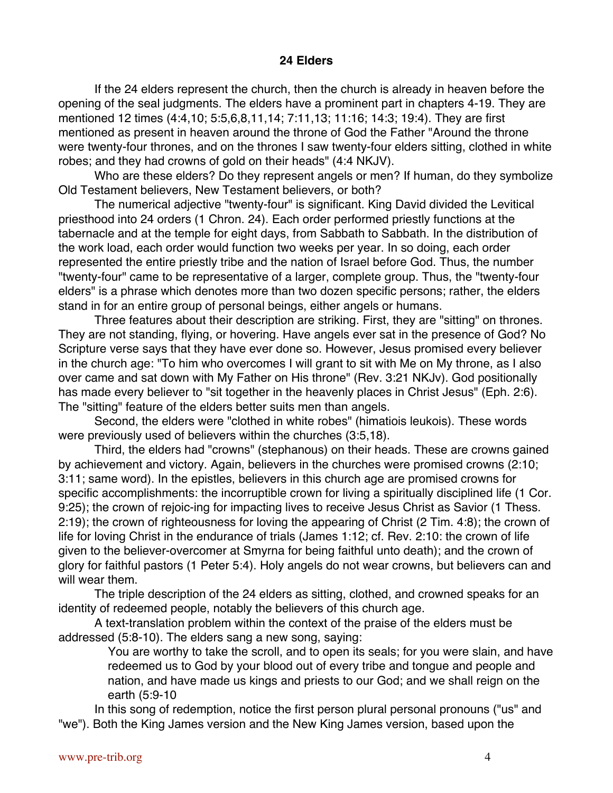## **24 Elders**

If the 24 elders represent the church, then the church is already in heaven before the opening of the seal judgments. The elders have a prominent part in chapters 4-19. They are mentioned 12 times (4:4,10; 5:5,6,8,11,14; 7:11,13; 11:16; 14:3; 19:4). They are first mentioned as present in heaven around the throne of God the Father "Around the throne were twenty-four thrones, and on the thrones I saw twenty-four elders sitting, clothed in white robes; and they had crowns of gold on their heads" (4:4 NKJV).

Who are these elders? Do they represent angels or men? If human, do they symbolize Old Testament believers, New Testament believers, or both?

The numerical adjective "twenty-four" is significant. King David divided the Levitical priesthood into 24 orders (1 Chron. 24). Each order performed priestly functions at the tabernacle and at the temple for eight days, from Sabbath to Sabbath. In the distribution of the work load, each order would function two weeks per year. In so doing, each order represented the entire priestly tribe and the nation of Israel before God. Thus, the number "twenty-four" came to be representative of a larger, complete group. Thus, the "twenty-four elders" is a phrase which denotes more than two dozen specific persons; rather, the elders stand in for an entire group of personal beings, either angels or humans.

Three features about their description are striking. First, they are "sitting" on thrones. They are not standing, flying, or hovering. Have angels ever sat in the presence of God? No Scripture verse says that they have ever done so. However, Jesus promised every believer in the church age: "To him who overcomes I will grant to sit with Me on My throne, as I also over came and sat down with My Father on His throne" (Rev. 3:21 NKJv). God positionally has made every believer to "sit together in the heavenly places in Christ Jesus" (Eph. 2:6). The "sitting" feature of the elders better suits men than angels.

Second, the elders were "clothed in white robes" (himatiois leukois). These words were previously used of believers within the churches (3:5,18).

Third, the elders had "crowns" (stephanous) on their heads. These are crowns gained by achievement and victory. Again, believers in the churches were promised crowns (2:10; 3:11; same word). In the epistles, believers in this church age are promised crowns for specific accomplishments: the incorruptible crown for living a spiritually disciplined life (1 Cor. 9:25); the crown of rejoic-ing for impacting lives to receive Jesus Christ as Savior (1 Thess. 2:19); the crown of righteousness for loving the appearing of Christ (2 Tim. 4:8); the crown of life for loving Christ in the endurance of trials (James 1:12; cf. Rev. 2:10: the crown of life given to the believer-overcomer at Smyrna for being faithful unto death); and the crown of glory for faithful pastors (1 Peter 5:4). Holy angels do not wear crowns, but believers can and will wear them.

The triple description of the 24 elders as sitting, clothed, and crowned speaks for an identity of redeemed people, notably the believers of this church age.

A text-translation problem within the context of the praise of the elders must be addressed (5:8-10). The elders sang a new song, saying:

> You are worthy to take the scroll, and to open its seals; for you were slain, and have redeemed us to God by your blood out of every tribe and tongue and people and nation, and have made us kings and priests to our God; and we shall reign on the earth (5:9-10

In this song of redemption, notice the first person plural personal pronouns ("us" and "we"). Both the King James version and the New King James version, based upon the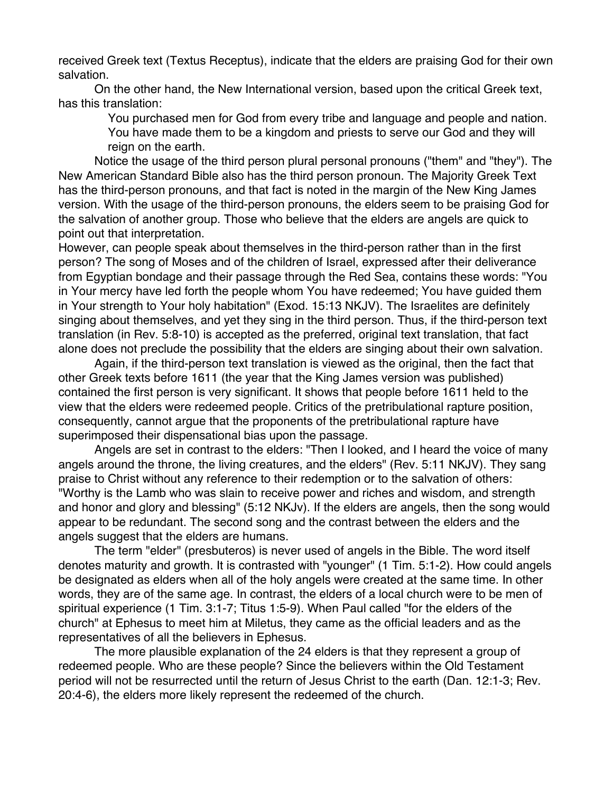received Greek text (Textus Receptus), indicate that the elders are praising God for their own salvation.

On the other hand, the New International version, based upon the critical Greek text, has this translation:

> You purchased men for God from every tribe and language and people and nation. You have made them to be a kingdom and priests to serve our God and they will reign on the earth.

Notice the usage of the third person plural personal pronouns ("them" and "they"). The New American Standard Bible also has the third person pronoun. The Majority Greek Text has the third-person pronouns, and that fact is noted in the margin of the New King James version. With the usage of the third-person pronouns, the elders seem to be praising God for the salvation of another group. Those who believe that the elders are angels are quick to point out that interpretation.

However, can people speak about themselves in the third-person rather than in the first person? The song of Moses and of the children of Israel, expressed after their deliverance from Egyptian bondage and their passage through the Red Sea, contains these words: "You in Your mercy have led forth the people whom You have redeemed; You have guided them in Your strength to Your holy habitation" (Exod. 15:13 NKJV). The Israelites are definitely singing about themselves, and yet they sing in the third person. Thus, if the third-person text translation (in Rev. 5:8-10) is accepted as the preferred, original text translation, that fact alone does not preclude the possibility that the elders are singing about their own salvation.

Again, if the third-person text translation is viewed as the original, then the fact that other Greek texts before 1611 (the year that the King James version was published) contained the first person is very significant. It shows that people before 1611 held to the view that the elders were redeemed people. Critics of the pretribulational rapture position, consequently, cannot argue that the proponents of the pretribulational rapture have superimposed their dispensational bias upon the passage.

Angels are set in contrast to the elders: "Then I looked, and I heard the voice of many angels around the throne, the living creatures, and the elders" (Rev. 5:11 NKJV). They sang praise to Christ without any reference to their redemption or to the salvation of others: "Worthy is the Lamb who was slain to receive power and riches and wisdom, and strength and honor and glory and blessing" (5:12 NKJv). If the elders are angels, then the song would appear to be redundant. The second song and the contrast between the elders and the angels suggest that the elders are humans.

The term "elder" (presbuteros) is never used of angels in the Bible. The word itself denotes maturity and growth. It is contrasted with "younger" (1 Tim. 5:1-2). How could angels be designated as elders when all of the holy angels were created at the same time. In other words, they are of the same age. In contrast, the elders of a local church were to be men of spiritual experience (1 Tim. 3:1-7; Titus 1:5-9). When Paul called "for the elders of the church" at Ephesus to meet him at Miletus, they came as the official leaders and as the representatives of all the believers in Ephesus.

The more plausible explanation of the 24 elders is that they represent a group of redeemed people. Who are these people? Since the believers within the Old Testament period will not be resurrected until the return of Jesus Christ to the earth (Dan. 12:1-3; Rev. 20:4-6), the elders more likely represent the redeemed of the church.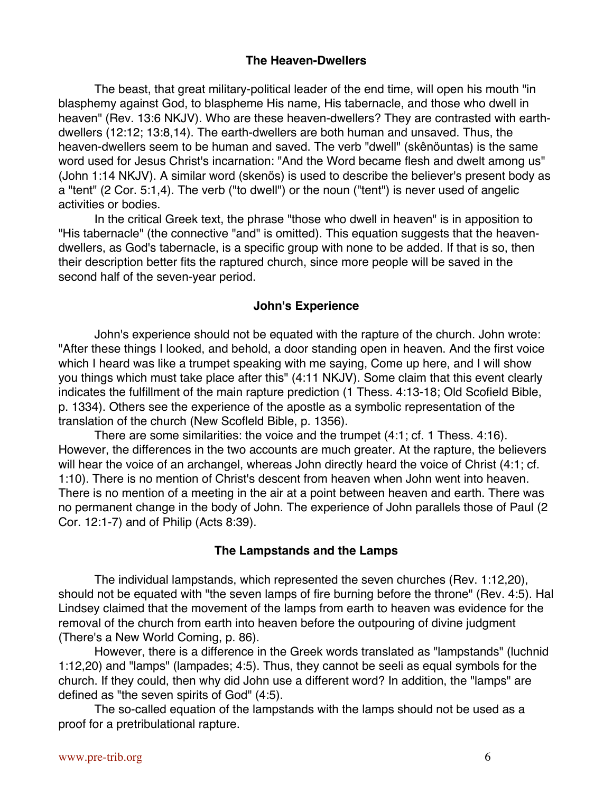## **The Heaven-Dwellers**

The beast, that great military-political leader of the end time, will open his mouth "in blasphemy against God, to blaspheme His name, His tabernacle, and those who dwell in heaven" (Rev. 13:6 NKJV). Who are these heaven-dwellers? They are contrasted with earthdwellers (12:12; 13:8,14). The earth-dwellers are both human and unsaved. Thus, the heaven-dwellers seem to be human and saved. The verb "dwell" (skênöuntas) is the same word used for Jesus Christ's incarnation: "And the Word became flesh and dwelt among us" (John 1:14 NKJV). A similar word (skenös) is used to describe the believer's present body as a "tent" (2 Cor. 5:1,4). The verb ("to dwell") or the noun ("tent") is never used of angelic activities or bodies.

In the critical Greek text, the phrase "those who dwell in heaven" is in apposition to "His tabernacle" (the connective "and" is omitted). This equation suggests that the heavendwellers, as God's tabernacle, is a specific group with none to be added. If that is so, then their description better fits the raptured church, since more people will be saved in the second half of the seven-year period.

#### **John's Experience**

John's experience should not be equated with the rapture of the church. John wrote: "After these things I looked, and behold, a door standing open in heaven. And the first voice which I heard was like a trumpet speaking with me saying, Come up here, and I will show you things which must take place after this" (4:11 NKJV). Some claim that this event clearly indicates the fulfillment of the main rapture prediction (1 Thess. 4:13-18; Old Scofield Bible, p. 1334). Others see the experience of the apostle as a symbolic representation of the translation of the church (New Scofleld Bible, p. 1356).

There are some similarities: the voice and the trumpet (4:1; cf. 1 Thess. 4:16). However, the differences in the two accounts are much greater. At the rapture, the believers will hear the voice of an archangel, whereas John directly heard the voice of Christ (4:1; cf. 1:10). There is no mention of Christ's descent from heaven when John went into heaven. There is no mention of a meeting in the air at a point between heaven and earth. There was no permanent change in the body of John. The experience of John parallels those of Paul (2 Cor. 12:1-7) and of Philip (Acts 8:39).

#### **The Lampstands and the Lamps**

The individual lampstands, which represented the seven churches (Rev. 1:12,20), should not be equated with "the seven lamps of fire burning before the throne" (Rev. 4:5). Hal Lindsey claimed that the movement of the lamps from earth to heaven was evidence for the removal of the church from earth into heaven before the outpouring of divine judgment (There's a New World Coming, p. 86).

However, there is a difference in the Greek words translated as "lampstands" (luchnid 1:12,20) and "lamps" (lampades; 4:5). Thus, they cannot be seeli as equal symbols for the church. If they could, then why did John use a different word? In addition, the "lamps" are defined as "the seven spirits of God" (4:5).

The so-called equation of the lampstands with the lamps should not be used as a proof for a pretribulational rapture.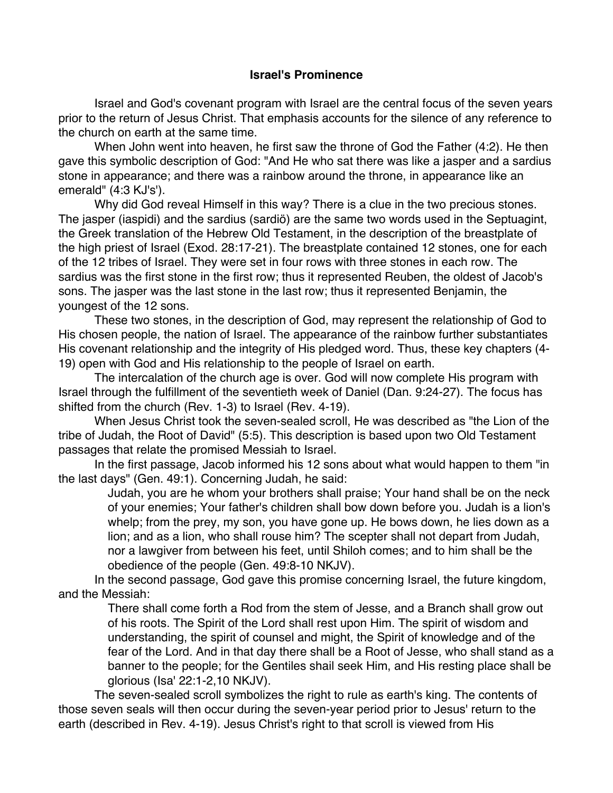# **Israel's Prominence**

Israel and God's covenant program with Israel are the central focus of the seven years prior to the return of Jesus Christ. That emphasis accounts for the silence of any reference to the church on earth at the same time.

When John went into heaven, he first saw the throne of God the Father (4:2). He then gave this symbolic description of God: "And He who sat there was like a jasper and a sardius stone in appearance; and there was a rainbow around the throne, in appearance like an emerald" (4:3 KJ's').

Why did God reveal Himself in this way? There is a clue in the two precious stones. The jasper (iaspidi) and the sardius (sardiö) are the same two words used in the Septuagint, the Greek translation of the Hebrew Old Testament, in the description of the breastplate of the high priest of Israel (Exod. 28:17-21). The breastplate contained 12 stones, one for each of the 12 tribes of Israel. They were set in four rows with three stones in each row. The sardius was the first stone in the first row; thus it represented Reuben, the oldest of Jacob's sons. The jasper was the last stone in the last row; thus it represented Benjamin, the youngest of the 12 sons.

These two stones, in the description of God, may represent the relationship of God to His chosen people, the nation of Israel. The appearance of the rainbow further substantiates His covenant relationship and the integrity of His pledged word. Thus, these key chapters (4- 19) open with God and His relationship to the people of Israel on earth.

The intercalation of the church age is over. God will now complete His program with Israel through the fulfillment of the seventieth week of Daniel (Dan. 9:24-27). The focus has shifted from the church (Rev. 1-3) to Israel (Rev. 4-19).

When Jesus Christ took the seven-sealed scroll, He was described as "the Lion of the tribe of Judah, the Root of David" (5:5). This description is based upon two Old Testament passages that relate the promised Messiah to Israel.

In the first passage, Jacob informed his 12 sons about what would happen to them "in the last days" (Gen. 49:1). Concerning Judah, he said:

Judah, you are he whom your brothers shall praise; Your hand shall be on the neck of your enemies; Your father's children shall bow down before you. Judah is a lion's whelp; from the prey, my son, you have gone up. He bows down, he lies down as a lion; and as a lion, who shall rouse him? The scepter shall not depart from Judah, nor a lawgiver from between his feet, until Shiloh comes; and to him shall be the obedience of the people (Gen. 49:8-10 NKJV).

In the second passage, God gave this promise concerning Israel, the future kingdom, and the Messiah:

There shall come forth a Rod from the stem of Jesse, and a Branch shall grow out of his roots. The Spirit of the Lord shall rest upon Him. The spirit of wisdom and understanding, the spirit of counsel and might, the Spirit of knowledge and of the fear of the Lord. And in that day there shall be a Root of Jesse, who shall stand as a banner to the people; for the Gentiles shail seek Him, and His resting place shall be glorious (Isa' 22:1-2,10 NKJV).

The seven-sealed scroll symbolizes the right to rule as earth's king. The contents of those seven seals will then occur during the seven-year period prior to Jesus' return to the earth (described in Rev. 4-19). Jesus Christ's right to that scroll is viewed from His